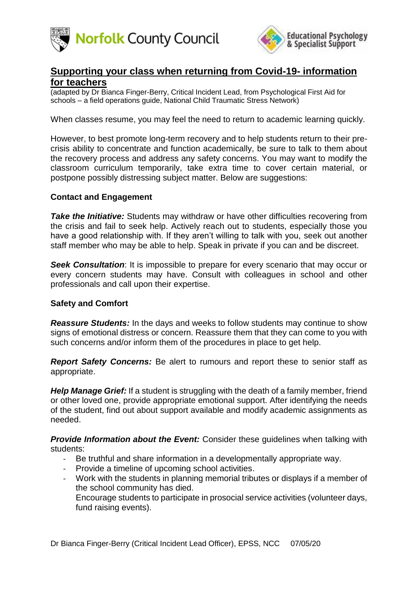



# **Supporting your class when returning from Covid-19- information for teachers**

(adapted by Dr Bianca Finger-Berry, Critical Incident Lead, from Psychological First Aid for schools – a field operations guide, National Child Traumatic Stress Network)

When classes resume, you may feel the need to return to academic learning quickly.

However, to best promote long-term recovery and to help students return to their precrisis ability to concentrate and function academically, be sure to talk to them about the recovery process and address any safety concerns. You may want to modify the classroom curriculum temporarily, take extra time to cover certain material, or postpone possibly distressing subject matter. Below are suggestions:

#### **Contact and Engagement**

*Take the Initiative:* Students may withdraw or have other difficulties recovering from the crisis and fail to seek help. Actively reach out to students, especially those you have a good relationship with. If they aren't willing to talk with you, seek out another staff member who may be able to help. Speak in private if you can and be discreet.

**Seek Consultation:** It is impossible to prepare for every scenario that may occur or every concern students may have. Consult with colleagues in school and other professionals and call upon their expertise.

#### **Safety and Comfort**

*Reassure Students:* In the days and weeks to follow students may continue to show signs of emotional distress or concern. Reassure them that they can come to you with such concerns and/or inform them of the procedures in place to get help.

*Report Safety Concerns:* Be alert to rumours and report these to senior staff as appropriate.

*Help Manage Grief:* If a student is struggling with the death of a family member, friend or other loved one, provide appropriate emotional support. After identifying the needs of the student, find out about support available and modify academic assignments as needed.

**Provide Information about the Event:** Consider these guidelines when talking with students:

- Be truthful and share information in a developmentally appropriate way.
- Provide a timeline of upcoming school activities.
- Work with the students in planning memorial tributes or displays if a member of the school community has died.

- Encourage students to participate in prosocial service activities (volunteer days, fund raising events).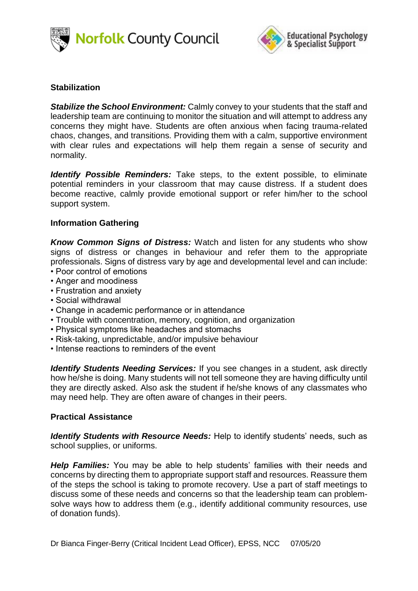



## **Stabilization**

*Stabilize the School Environment:* Calmly convey to your students that the staff and leadership team are continuing to monitor the situation and will attempt to address any concerns they might have. Students are often anxious when facing trauma-related chaos, changes, and transitions. Providing them with a calm, supportive environment with clear rules and expectations will help them regain a sense of security and normality.

*Identify Possible Reminders:* Take steps, to the extent possible, to eliminate potential reminders in your classroom that may cause distress. If a student does become reactive, calmly provide emotional support or refer him/her to the school support system.

#### **Information Gathering**

*Know Common Signs of Distress:* Watch and listen for any students who show signs of distress or changes in behaviour and refer them to the appropriate professionals. Signs of distress vary by age and developmental level and can include: • Poor control of emotions

- Anger and moodiness
- Frustration and anxiety
- Social withdrawal
- Change in academic performance or in attendance
- Trouble with concentration, memory, cognition, and organization
- Physical symptoms like headaches and stomachs
- Risk-taking, unpredictable, and/or impulsive behaviour
- Intense reactions to reminders of the event

*Identify Students Needing Services:* If you see changes in a student, ask directly how he/she is doing. Many students will not tell someone they are having difficulty until they are directly asked. Also ask the student if he/she knows of any classmates who may need help. They are often aware of changes in their peers.

#### **Practical Assistance**

*Identify Students with Resource Needs:* Help to identify students' needs, such as school supplies, or uniforms.

*Help Families:* You may be able to help students' families with their needs and concerns by directing them to appropriate support staff and resources. Reassure them of the steps the school is taking to promote recovery. Use a part of staff meetings to discuss some of these needs and concerns so that the leadership team can problemsolve ways how to address them (e.g., identify additional community resources, use of donation funds).